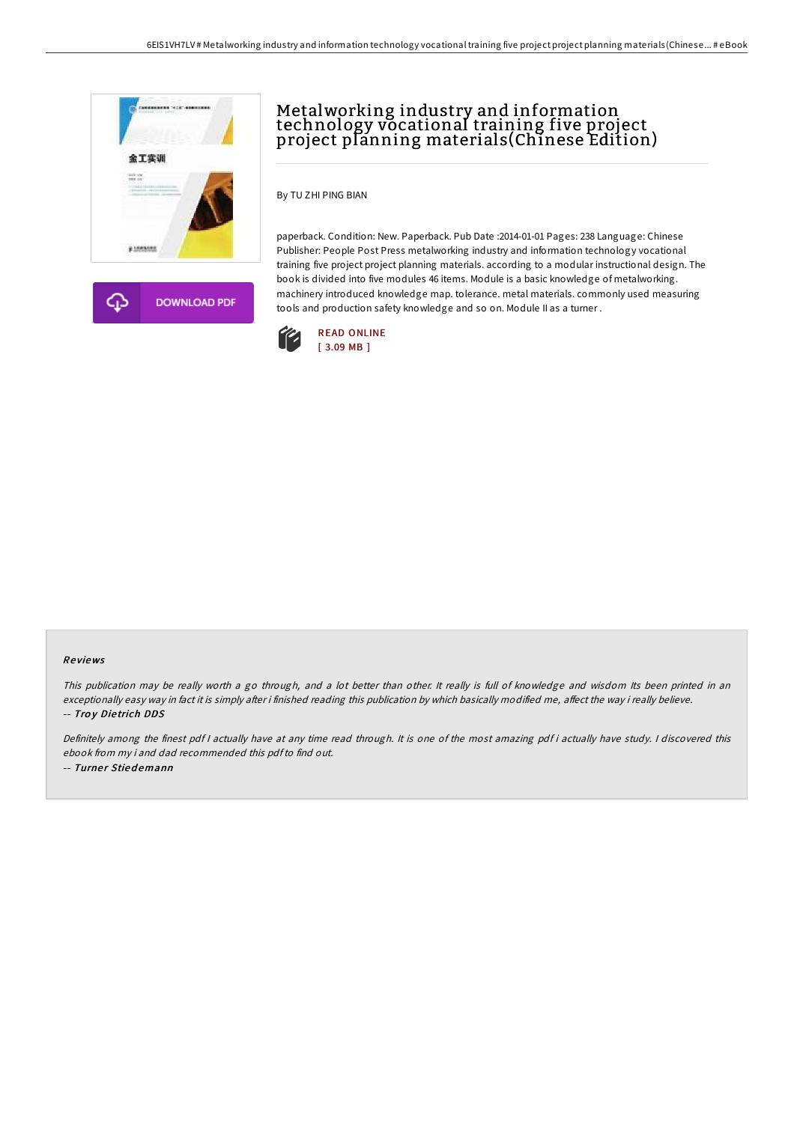

**DOWNLOAD PDF** 

# Metalworking industry and information technology vocational training five project project planning materials(Chinese Edition)

By TU ZHI PING BIAN

paperback. Condition: New. Paperback. Pub Date :2014-01-01 Pages: 238 Language: Chinese Publisher: People Post Press metalworking industry and information technology vocational training five project project planning materials. according to a modular instructional design. The book is divided into five modules 46 items. Module is a basic knowledge of metalworking. machinery introduced knowledge map. tolerance. metal materials. commonly used measuring tools and production safety knowledge and so on. Module II as a turner .



### Re views

This publication may be really worth <sup>a</sup> go through, and <sup>a</sup> lot better than other. It really is full of knowledge and wisdom Its been printed in an exceptionally easy way in fact it is simply after i finished reading this publication by which basically modified me, affect the way i really believe. -- Troy Dietrich DDS

Definitely among the finest pdf <sup>I</sup> actually have at any time read through. It is one of the most amazing pdf i actually have study. <sup>I</sup> discovered this ebook from my i and dad recommended this pdfto find out. -- Turner Stiedemann